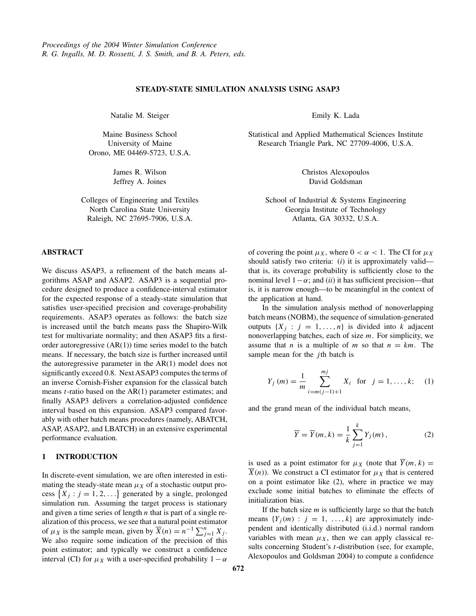### **STEADY-STATE SIMULATION ANALYSIS USING ASAP3**

<span id="page-0-0"></span>Natalie M. Steiger

Maine Business School University of Maine Orono, ME 04469-5723, U.S.A.

> James R. Wilson Jeffrey A. Joines

Colleges of Engineering and Textiles North Carolina State University Raleigh, NC 27695-7906, U.S.A.

## **ABSTRACT**

We discuss ASAP3, a refinement of the batch means algorithms ASAP and ASAP2. ASAP3 is a sequential procedure designed to produce a confidence-interval estimator for the expected response of a steady-state simulation that satisfies user-specified precision and coverage-probability requirements. ASAP3 operates as follows: the batch size is increased until the batch means pass the Shapiro-Wilk test for multivariate normality; and then ASAP3 fits a firstorder autoregressive  $(AR(1))$  time series model to the batch means. If necessary, the batch size is further increased until the autoregressive parameter in the AR(1) model does not significantly exceed 0.8. Next ASAP3 computes the terms of an inverse Cornish-Fisher expansion for the classical batch means *t*-ratio based on the AR(1) parameter estimates; and finally ASAP3 delivers a correlation-adjusted confidence interval based on this expansion. ASAP3 compared favorably with other batch means procedures (namely, ABATCH, ASAP, ASAP2, and LBATCH) in an extensive experimental performance evaluation.

### **1 INTRODUCTION**

In discrete-event simulation, we are often interested in estimating the steady-state mean  $\mu_X$  of a stochastic output process  $\{X_j : j = 1, 2, ...\}$  generated by a single, prolonged simulation run. Assuming the target process is stationary and given a time series of length *n* that is part of a single realization of this process, we see that a natural point estimator of  $\mu_X$  is the sample mean, given by  $\overline{X}(n) = n^{-1} \sum_{j=1}^n X_j$ . We also require some indication of the precision of this point estimator; and typically we construct a confidence interval (CI) for  $\mu_X$  with a user-specified probability  $1 - \alpha$ 

Emily K. Lada

Statistical and Applied Mathematical Sciences Institute Research Triangle Park, NC 27709-4006, U.S.A.

> Christos Alexopoulos David Goldsman

School of Industrial & Systems Engineering Georgia Institute of Technology Atlanta, GA 30332, U.S.A.

of covering the point  $\mu_X$ , where  $0 < \alpha < 1$ . The CI for  $\mu_X$ should satisfy two criteria: (*i*) it is approximately valid that is, its coverage probability is sufficiently close to the nominal level  $1-\alpha$ ; and (*ii*) it has sufficient precision—that is, it is narrow enough—to be meaningful in the context of the application at hand.

In the simulation analysis method of nonoverlapping batch means (NOBM), the sequence of simulation-generated outputs  $\{X_i : j = 1, ..., n\}$  is divided into *k* adjacent nonoverlapping batches, each of size *m*. For simplicity, we assume that *n* is a multiple of *m* so that  $n = km$ . The sample mean for the *j* th batch is

$$
Y_j(m) = \frac{1}{m} \sum_{i=m(j-1)+1}^{mj} X_i \text{ for } j = 1, ..., k; \quad (1)
$$

and the grand mean of the individual batch means,

$$
\overline{Y} = \overline{Y}(m,k) = \frac{1}{k} \sum_{j=1}^{k} Y_j(m), \qquad (2)
$$

is used as a point estimator for  $\mu_X$  (note that  $\overline{Y}(m, k) =$  $\overline{X}(n)$ ). We construct a CI estimator for  $\mu_X$  that is centered on a point estimator like (2), where in practice we may exclude some initial batches to eliminate the effects of initialization bias.

If the batch size *m* is sufficiently large so that the batch means  ${Y_i(m) : j = 1, ..., k}$  are approximately independent and identically distributed (i.i.d.) normal random variables with mean  $\mu_X$ , then we can apply classical results concerning Student's *t*-distribution (see, for example, Alexopoulos and Goldsman 2004) to compute a confidence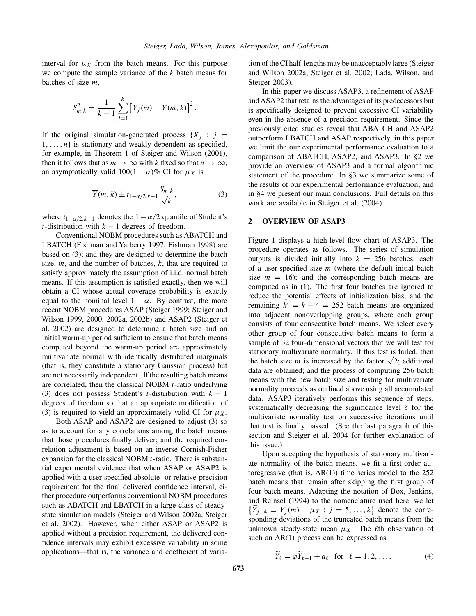<span id="page-1-0"></span>interval for  $\mu_X$  from the batch means. For this purpose we compute the sample variance of the *k* batch means for batches of size *m*,

$$
S_{m,k}^{2} = \frac{1}{k-1} \sum_{j=1}^{k} \left[ Y_{j}(m) - \overline{Y}(m,k) \right]^{2}.
$$

If the original simulation-generated process  ${X_i : j =}$  $1, \ldots, n$  is stationary and weakly dependent as specified, for example, in Theorem 1 of Steiger and Wilson (2001), then it follows that as  $m \to \infty$  with *k* fixed so that  $n \to \infty$ , an asymptotically valid  $100(1 - \alpha)\%$  CI for  $\mu_X$  is

$$
\overline{Y}(m,k) \pm t_{1-\alpha/2,k-1} \frac{S_{m,k}}{\sqrt{k}},
$$
\n(3)

where  $t_{1-\alpha/2,k-1}$  denotes the  $1-\alpha/2$  quantile of Student's *t*-distribution with  $k - 1$  degrees of freedom.

Conventional NOBM procedures such as ABATCH and LBATCH (Fishman and Yarberry 1997, Fishman 1998) are based on (3); and they are designed to determine the batch size, *m*, and the number of batches, *k*, that are required to satisfy approximately the assumption of i.i.d. normal batch means. If this assumption is satisfied exactly, then we will obtain a CI whose actual coverage probability is exactly equal to the nominal level  $1 - \alpha$ . By contrast, the more recent NOBM procedures ASAP (Steiger 1999; Steiger and Wilson 1999, 2000, 2002a, 2002b) and ASAP2 (Steiger et al. 2002) are designed to determine a batch size and an initial warm-up period sufficient to ensure that batch means computed beyond the warm-up period are approximately multivariate normal with identically distributed marginals (that is, they constitute a stationary Gaussian process) but are not necessarily independent. If the resulting batch means are correlated, then the classical NOBM *t*-ratio underlying (3) does not possess Student's *t*-distribution with  $k - 1$ degrees of freedom so that an appropriate modification of (3) is required to yield an approximately valid CI for  $\mu_X$ .

Both ASAP and ASAP2 are designed to adjust (3) so as to account for any correlations among the batch means that those procedures finally deliver; and the required correlation adjustment is based on an inverse Cornish-Fisher expansion for the classical NOBM *t*-ratio. There is substantial experimental evidence that when ASAP or ASAP2 is applied with a user-specified absolute- or relative-precision requirement for the final delivered confidence interval, either procedure outperforms conventional NOBM procedures such as ABATCH and LBATCH in a large class of steadystate simulation models (Steiger and Wilson 2002a, Steiger et al. 2002). However, when either ASAP or ASAP2 is applied without a precision requirement, the delivered confidence intervals may exhibit excessive variability in some applications—that is, the variance and coefficient of variation of the CI half-lengths may be unacceptably large (Steiger and Wilson 2002a; Steiger et al. 2002; Lada, Wilson, and Steiger 2003).

In this paper we discuss ASAP3, a refinement of ASAP andASAP2 that retains the advantages of its predecessors but is specifically designed to prevent excessive CI variability even in the absence of a precision requirement. Since the previously cited studies reveal that ABATCH and ASAP2 outperform LBATCH and ASAP respectively, in this paper we limit the our experimental performance evaluation to a comparison of ABATCH, ASAP2, and ASAP3. In §2 we provide an overview of ASAP3 and a formal algorithmic statement of the procedure. In §3 we summarize some of the results of our experimental performance evaluation; and in §4 we present our main conclusions. Full details on this work are available in Steiger et al. (2004).

### **2 OVERVIEW OF ASAP3**

Figure [1](#page-2-0) displays a high-level flow chart of ASAP3. The procedure operates as follows. The series of simulation outputs is divided initially into  $k = 256$  batches, each of a user-specified size *m* (where the default initial batch size  $m = 16$ ; and the corresponding batch means are computed as in [\(1\)](#page-0-0). The first four batches are ignored to reduce the potential effects of initialization bias, and the remaining  $k' = k - 4 = 252$  batch means are organized into adjacent nonoverlapping groups, where each group consists of four consecutive batch means. We select every other group of four consecutive batch means to form a sample of 32 four-dimensional vectors that we will test for stationary multivariate normality. If this test is failed, then the batch size *m* is increased by the factor  $\sqrt{2}$ ; additional data are obtained; and the process of computing 256 batch means with the new batch size and testing for multivariate normality proceeds as outlined above using all accumulated data. ASAP3 iteratively performs this sequence of steps, systematically decreasing the significance level *δ* for the multivariate normality test on successive iterations until that test is finally passed. (See the last paragraph of this section and Steiger et al. 2004 for further explanation of this issue.)

Upon accepting the hypothesis of stationary multivariate normality of the batch means, we fit a first-order autoregressive (that is,  $AR(1)$ ) time series model to the 252 batch means that remain after skipping the first group of four batch means. Adapting the notation of Box, Jenkins, and Reinsel (1994) to the nomenclature used here, we let  $\left\{ \widetilde{Y}_{j-4} \equiv Y_j(m) - \mu_X : j = 5, ..., k \right\}$  denote the corresponding deviations of the truncated batch means from the unknown steady-state mean  $\mu_X$ . The  $\ell$ th observation of such an AR(1) process can be expressed as

$$
\widetilde{Y}_{\ell} = \varphi \widetilde{Y}_{\ell-1} + a_{\ell} \quad \text{for} \quad \ell = 1, 2, \dots,
$$
 (4)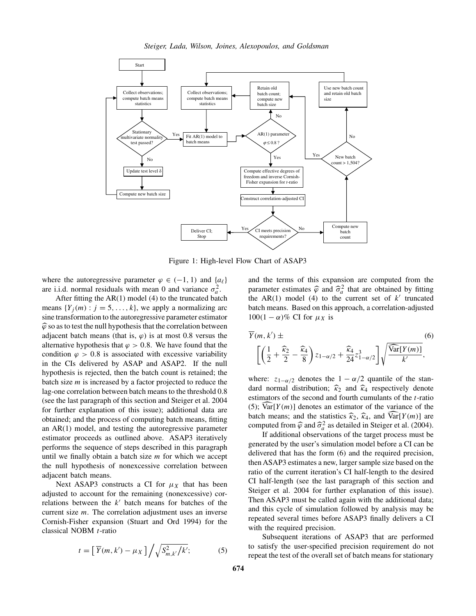<span id="page-2-0"></span>

Figure 1: High-level Flow Chart of ASAP3

where the autoregressive parameter  $\varphi \in (-1, 1)$  and  $\{a_{\ell}\}\$ are i.i.d. normal residuals with mean 0 and variance  $\sigma_a^2$ .

After fitting the AR(1) model [\(4\)](#page-1-0) to the truncated batch means  $\{Y_i(m): j = 5, \ldots, k\}$ , we apply a normalizing arc sine transformation to the autoregressive parameter estimator  $\widehat{\varphi}$  so as to test the null hypothesis that the correlation between adjacent batch means (that is,  $\varphi$ ) is at most 0.8 versus the alternative hypothesis that  $\varphi > 0.8$ . We have found that the condition  $\varphi > 0.8$  is associated with excessive variability in the CIs delivered by ASAP and ASAP2. If the null hypothesis is rejected, then the batch count is retained; the batch size *m* is increased by a factor projected to reduce the lag-one correlation between batch means to the threshold 0.8 (see the last paragraph of this section and Steiger et al. 2004 for further explanation of this issue); additional data are obtained; and the process of computing batch means, fitting an AR(1) model, and testing the autoregressive parameter estimator proceeds as outlined above. ASAP3 iteratively performs the sequence of steps described in this paragraph until we finally obtain a batch size *m* for which we accept the null hypothesis of nonexcessive correlation between adjacent batch means.

Next ASAP3 constructs a CI for  $\mu_X$  that has been adjusted to account for the remaining (nonexcessive) correlations between the  $k'$  batch means for batches of the current size *m*. The correlation adjustment uses an inverse Cornish-Fisher expansion (Stuart and Ord 1994) for the classical NOBM *t*-ratio

$$
t = \left[\,\overline{Y}(m,k') - \mu_X\,\right] \bigg/ \sqrt{S_{m,k'}^2/k'};\tag{5}
$$

and the terms of this expansion are computed from the parameter estimates  $\hat{\varphi}$  and  $\hat{\sigma}_a^2$  that are obtained by fitting<br>the AP(1) model (4) to the numeral set of  $\hat{h}'$  tunnerted the AR(1) model [\(4\)](#page-1-0) to the current set of  $k'$  truncated batch means. Based on this approach, a correlation-adjusted  $100(1 - \alpha)\%$  CI for  $\mu_X$  is

$$
\overline{Y}(m, k') \pm \left[ \left( \frac{1}{2} + \frac{\widehat{\kappa}_2}{2} - \frac{\widehat{\kappa}_4}{8} \right) z_{1-\alpha/2} + \frac{\widehat{\kappa}_4}{24} z_{1-\alpha/2}^3 \right] \sqrt{\frac{\widehat{\text{Var}}[Y(m)]}{k'}},
$$
\n(6)

where:  $z_{1-\alpha/2}$  denotes the  $1-\alpha/2$  quantile of the standard normal distribution;  $\hat{k}_2$  and  $\hat{k}_4$  respectively denote estimators of the second and fourth cumulants of the *t*-ratio (5);  $\widehat{\text{Var}}[Y(m)]$  denotes an estimator of the variance of the batch means; and the statistics  $\widehat{\kappa}_2$ ,  $\widehat{\kappa}_4$ , and  $\widehat{\text{Var}}[Y(m)]$  are computed from  $\hat{\varphi}$  and  $\hat{\sigma}_a^2$  as detailed in Steiger et al. (2004).

If additional observations of the target process must be generated by the user's simulation model before a CI can be delivered that has the form (6) and the required precision, then ASAP3 estimates a new, larger sample size based on the ratio of the current iteration's CI half-length to the desired CI half-length (see the last paragraph of this section and Steiger et al. 2004 for further explanation of this issue). Then ASAP3 must be called again with the additional data; and this cycle of simulation followed by analysis may be repeated several times before ASAP3 finally delivers a CI with the required precision.

Subsequent iterations of ASAP3 that are performed to satisfy the user-specified precision requirement do not repeat the test of the overall set of batch means for stationary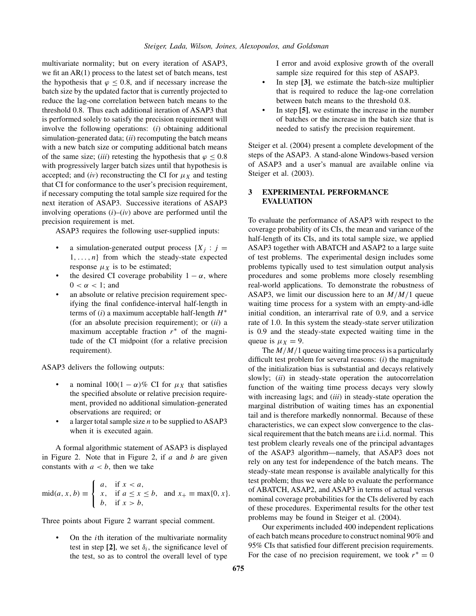multivariate normality; but on every iteration of ASAP3, we fit an AR(1) process to the latest set of batch means, test the hypothesis that  $\varphi$  < 0.8, and if necessary increase the batch size by the updated factor that is currently projected to reduce the lag-one correlation between batch means to the threshold 0.8. Thus each additional iteration of ASAP3 that is performed solely to satisfy the precision requirement will involve the following operations: (*i*) obtaining additional simulation-generated data; (*ii*) recomputing the batch means with a new batch size or computing additional batch means of the same size; (*iii*) retesting the hypothesis that  $\varphi \leq 0.8$ with progressively larger batch sizes until that hypothesis is accepted; and  $(iv)$  reconstructing the CI for  $\mu_X$  and testing that CI for conformance to the user's precision requirement, if necessary computing the total sample size required for the next iteration of ASAP3. Successive iterations of ASAP3 involving operations  $(i)$ – $(iv)$  above are performed until the precision requirement is met.

ASAP3 requires the following user-supplied inputs:

- a simulation-generated output process  ${X_i : j =$ 1*,...,n*} from which the steady-state expected response  $\mu_X$  is to be estimated;
- the desired CI coverage probability  $1 \alpha$ , where  $0 < \alpha < 1$ ; and
- an absolute or relative precision requirement specifying the final confidence-interval half-length in terms of (*i*) a maximum acceptable half-length *H*<sup>∗</sup> (for an absolute precision requirement); or (*ii*) a maximum acceptable fraction *r*<sup>∗</sup> of the magnitude of the CI midpoint (for a relative precision requirement).

ASAP3 delivers the following outputs:

- a nominal  $100(1 \alpha)\%$  CI for  $\mu_X$  that satisfies the specified absolute or relative precision requirement, provided no additional simulation-generated observations are required; or
- a larger total sample size *n* to be supplied to ASAP3 when it is executed again.

A formal algorithmic statement of ASAP3 is displayed in Figure [2.](#page-4-0) Note that in Figure [2,](#page-4-0) if *a* and *b* are given constants with  $a < b$ , then we take

$$
\text{mid}(a, x, b) \equiv \begin{cases} a, & \text{if } x < a, \\ x, & \text{if } a \le x \le b, \\ b, & \text{if } x > b, \end{cases} \text{ and } x_+ \equiv \max\{0, x\}.
$$

Three points about Figure [2](#page-4-0) warrant special comment.

• On the *i*th iteration of the multivariate normality test in step [2], we set  $\delta_i$ , the significance level of the test, so as to control the overall level of type

I error and avoid explosive growth of the overall sample size required for this step of ASAP3.

- In step **[3]**, we estimate the batch-size multiplier that is required to reduce the lag-one correlation between batch means to the threshold 0.8.
- In step **[5]**, we estimate the increase in the number of batches or the increase in the batch size that is needed to satisfy the precision requirement.

Steiger et al. (2004) present a complete development of the steps of the ASAP3. A stand-alone Windows-based version of ASAP3 and a user's manual are available online via Steiger et al. (2003).

# **3 EXPERIMENTAL PERFORMANCE EVALUATION**

To evaluate the performance of ASAP3 with respect to the coverage probability of its CIs, the mean and variance of the half-length of its CIs, and its total sample size, we applied ASAP3 together with ABATCH and ASAP2 to a large suite of test problems. The experimental design includes some problems typically used to test simulation output analysis procedures and some problems more closely resembling real-world applications. To demonstrate the robustness of ASAP3, we limit our discussion here to an *M/M/*1 queue waiting time process for a system with an empty-and-idle initial condition, an interarrival rate of 0.9, and a service rate of 1.0. In this system the steady-state server utilization is 0.9 and the steady-state expected waiting time in the queue is  $\mu_X = 9$ .

The *M/M/*1 queue waiting time process is a particularly difficult test problem for several reasons: (*i*) the magnitude of the initialization bias is substantial and decays relatively slowly; (*ii*) in steady-state operation the autocorrelation function of the waiting time process decays very slowly with increasing lags; and (*iii*) in steady-state operation the marginal distribution of waiting times has an exponential tail and is therefore markedly nonnormal. Because of these characteristics, we can expect slow convergence to the classical requirement that the batch means are i.i.d. normal. This test problem clearly reveals one of the principal advantages of the ASAP3 algorithm—namely, that ASAP3 does not rely on any test for independence of the batch means. The steady-state mean response is available analytically for this test problem; thus we were able to evaluate the performance of ABATCH, ASAP2, and ASAP3 in terms of actual versus nominal coverage probabilities for the CIs delivered by each of these procedures. Experimental results for the other test problems may be found in Steiger et al. (2004).

Our experiments included 400 independent replications of each batch means procedure to construct nominal 90% and 95% CIs that satisfied four different precision requirements. For the case of no precision requirement, we took  $r^* = 0$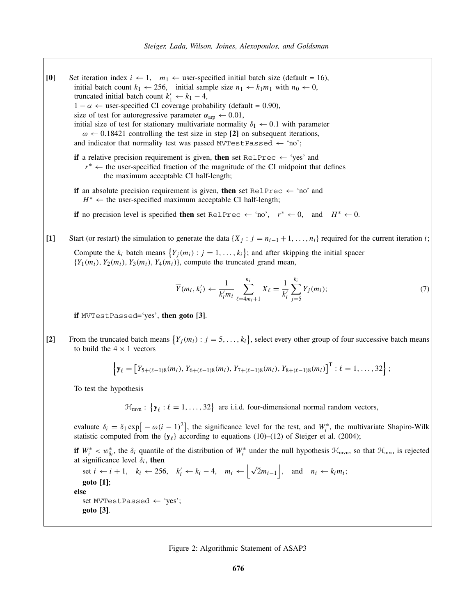<span id="page-4-0"></span>**[0]** Set iteration index  $i \leftarrow 1$ ,  $m_1 \leftarrow$  user-specified initial batch size (default = 16), initial batch count  $k_1 \leftarrow 256$ , initial sample size  $n_1 \leftarrow k_1 m_1$  with  $n_0 \leftarrow 0$ , truncated initial batch count  $k'_1 \leftarrow k_1 - 4$ ,  $1 - α \leftarrow$  user-specified CI coverage probability (default = 0.90), size of test for autoregressive parameter  $\alpha_{\text{arp}} \leftarrow 0.01$ , initial size of test for stationary multivariate normality  $\delta_1 \leftarrow 0.1$  with parameter *ω* ← 0*.*18421 controlling the test size in step **[2]** on subsequent iterations, and indicator that normality test was passed MVTestPassed  $\leftarrow$  'no'; **if** a relative precision requirement is given, **then** set RelPrec  $\leftarrow$  'yes' and *r*<sup>∗</sup> ← the user-specified fraction of the magnitude of the CI midpoint that defines the maximum acceptable CI half-length; **if** an absolute precision requirement is given, **then** set RelPrec  $\leftarrow$  'no' and *H*<sup>∗</sup> ← the user-specified maximum acceptable CI half-length; **if** no precision level is specified **then** set RelPrec ← 'no',  $r^*$  ← 0, and  $H^*$  ← 0. **[1]** Start (or restart) the simulation to generate the data  $\{X_j : j = n_{i-1} + 1, \ldots, n_i\}$  required for the current iteration *i*; Compute the  $k_i$  batch means  $\{Y_j(m_i) : j = 1, ..., k_i\}$ ; and after skipping the initial spacer  ${Y_1}(m_i)$ ,  $Y_2(m_i)$ ,  $Y_3(m_i)$ ,  $Y_4(m_i)$ }, compute the truncated grand mean,  $\overline{Y}(m_i, k'_i) \leftarrow \frac{1}{k'_i m_i}$  $\sum_{i=1}^{n_i}$  $\ell = 4m_i + 1$  $X_{\ell} = \frac{1}{k'_{i}}$  $\sum$ *j*=5  $Y_j(m_i);$  (7) **if** MVTestPassed='yes', **then goto [3]**. [2] From the truncated batch means  $\{Y_j(m_i) : j = 5, ..., k_i\}$ , select every other group of four successive batch means to build the  $4 \times 1$  vectors  $\left\{ \mathbf{y}_{\ell} = \left[ Y_{5+(\ell-1)8}(m_i), Y_{6+(\ell-1)8}(m_i), Y_{7+(\ell-1)8}(m_i), Y_{8+(\ell-1)8}(m_i) \right]^{\mathrm{T}} : \ell = 1, \ldots, 32 \right\};$ To test the hypothesis  $\mathcal{H}_{mvn}$ : { $\mathbf{y}_{\ell}$  :  $\ell = 1, ..., 32$ } are i.i.d. four-dimensional normal random vectors, evaluate  $\delta_i = \delta_1 \exp[-\omega(i-1)^2]$ , the significance level for the test, and  $W_i^*$ , the multivariate Shapiro-Wilk statistic computed from the  $\{y_\ell\}$  according to equations (10)–(12) of Steiger et al. (2004); **if**  $W_i^* < w_{\delta_i}^*$ , the  $\delta_i$  quantile of the distribution of  $W_i^*$  under the null hypothesis  $\mathcal{H}_{mvn}$ , so that  $\mathcal{H}_{mvn}$  is rejected at significance level  $\delta_i$ , **then** set *i* ← *i* + 1,  $k_i$  ← 256,  $k'_i$  ←  $k_i$  – 4,  $m_i$  ←  $\left| \sqrt{2}m_{i-1} \right|$ , and  $n_i$  ←  $k_im_i$ ; **goto [1]**; **else** set MVTestPassed  $\leftarrow$  'yes'; **goto [3]**.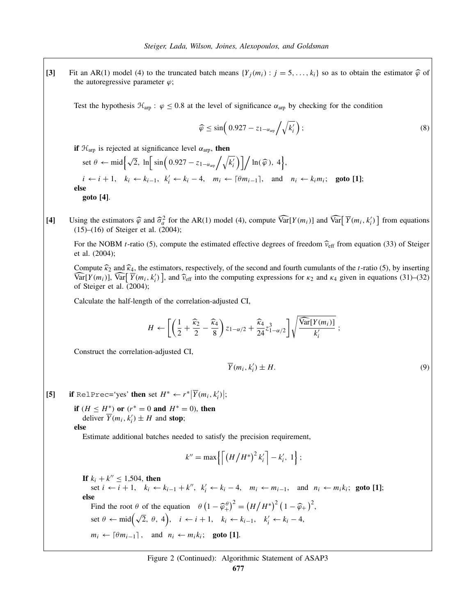<span id="page-5-0"></span>**[3]** Fit an AR(1) model [\(4\)](#page-1-0) to the truncated batch means  $\{Y_j(m_i): j = 5, \ldots, k_i\}$  so as to obtain the estimator  $\hat{\varphi}$  of the autoregressive parameter  $\varphi$ ;

Test the hypothesis  $\mathcal{H}_{\text{arp}}$ :  $\varphi \leq 0.8$  at the level of significance  $\alpha_{\text{arp}}$  by checking for the condition

$$
\widehat{\varphi} \le \sin\left(0.927 - z_{1-\alpha_{\text{arp}}}\bigg/\sqrt{k_i'}\right);\tag{8}
$$

**if**  $\mathcal{H}_{\text{arm}}$  is rejected at significance level  $\alpha_{\text{arm}}$ , **then** 

set  $\theta \leftarrow \text{mid}\left\{\sqrt{2}, \ln\left[\sin\left(0.927 - z_{1-\alpha_{\text{app}}}\right/\sqrt{k_i'}\right)\right] / \ln(\widehat{\varphi}), 4\right\},\$  $i \leftarrow i+1, \quad k_i \leftarrow k_{i-1}, \quad k'_i \leftarrow k_i-4, \quad m_i \leftarrow \lceil \theta m_{i-1} \rceil, \quad \text{and} \quad n_i \leftarrow k_i m_i; \quad \text{goto [1]};$ **else goto [4]**.

[4] Using the estimators  $\hat{\varphi}$  and  $\hat{\sigma}_a^2$  for the AR(1) model [\(4\)](#page-1-0), compute  $\widehat{\text{Var}}[Y(m_i)]$  and  $\widehat{\text{Var}}[\overline{Y}(m_i, k'_i)]$  from equations (15) (16) of String at al. (2004). (15)–(16) of Steiger et al. (2004);

For the NOBM *t*-ratio [\(5\)](#page-2-0), compute the estimated effective degrees of freedom  $\hat{v}_{eff}$  from equation (33) of Steiger et al. (2004);

Compute  $\hat{\kappa}_2$  and  $\hat{\kappa}_4$ , the estimators, respectively, of the second and fourth cumulants of the *t*-ratio [\(5\)](#page-2-0), by inserting  $\widehat{\text{Var}}[\overline{Y}(m_i)], \widehat{\text{Var}}[\overline{Y}(m_i, k'_i)]$ , and  $\widehat{\nu}_{\text{eff}}$  into the computing expressions for  $\kappa_2$  and  $\kappa_4$  given in equations (31)–(32) of Steiger et al. (2004);

Calculate the half-length of the correlation-adjusted CI,

$$
H \leftarrow \left[ \left( \frac{1}{2} + \frac{\widehat{\kappa}_2}{2} - \frac{\widehat{\kappa}_4}{8} \right) z_{1-\alpha/2} + \frac{\widehat{\kappa}_4}{24} z_{1-\alpha/2}^3 \right] \sqrt{\frac{\widehat{\text{Var}}[Y(m_i)]}{k'_i}} ;
$$

Construct the correlation-adjusted CI,

$$
\overline{Y}(m_i, k'_i) \pm H. \tag{9}
$$

[5] if RelPrec='yes' then set  $H^* \leftarrow r^*|\overline{Y}(m_i, k'_i)|;$ 

**if**  $(H \leq H^*)$  or  $(r^* = 0$  and  $H^* = 0$ , then deliver  $\overline{Y}(m_i, k'_i) \pm H$  and **stop**;

**else**

Estimate additional batches needed to satisfy the precision requirement,

$$
k'' = \max\left\{ \left[ \left( H/H^* \right)^2 k'_i \right] - k'_i, 1 \right\};
$$

**If**  $k_i + k'' \le 1,504$ , **then** set *i* ← *i* + 1,  $k_i$  ←  $k_{i-1}$  +  $k''$ ,  $k'_i$  ←  $k_i$  − 4,  $m_i$  ←  $m_{i-1}$ , and  $n_i$  ←  $m_i k_i$ ; goto [1]; **else** Find the root  $\theta$  of the equation  $\theta \left(1 - \hat{\varphi}_+^{\theta}\right)^2 = \left(H/H^*\right)^2 \left(1 - \hat{\varphi}_+\right)^2$ , set  $\theta \leftarrow \text{mid}(\sqrt{2}, \theta, 4)$ ,  $i \leftarrow i+1$ ,  $k_i \leftarrow k_{i-1}$ ,  $k'_i \leftarrow k_i - 4$ ,  $m_i \leftarrow \lceil \theta m_{i-1} \rceil$ , and  $n_i \leftarrow m_i k_i$ ; goto [1].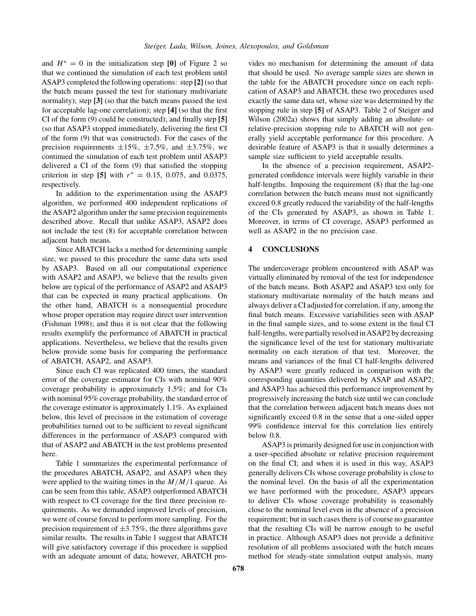and  $H^* = 0$  in the initialization step [0] of Figure [2](#page-4-0) so that we continued the simulation of each test problem until ASAP3 completed the following operations: step **[2]** (so that the batch means passed the test for stationary multivariate normality); step **[3]** (so that the batch means passed the test for acceptable lag-one correlation); step **[4]** (so that the first CI of the form [\(9\)](#page-5-0) could be constructed); and finally step **[5]** (so that ASAP3 stopped immediately, delivering the first CI of the form [\(9\)](#page-5-0) that was constructed). For the cases of the precision requirements  $\pm 15\%$ ,  $\pm 7.5\%$ , and  $\pm 3.75\%$ , we continued the simulation of each test problem until ASAP3 delivered a CI of the form [\(9\)](#page-5-0) that satisfied the stopping criterion in step [5] with  $r^* = 0.15, 0.075,$  and 0.0375, respectively.

In addition to the experimentation using the ASAP3 algorithm, we performed 400 independent replications of the ASAP2 algorithm under the same precision requirements described above. Recall that unlike ASAP3, ASAP2 does not include the test [\(8\)](#page-5-0) for acceptable correlation between adjacent batch means.

Since ABATCH lacks a method for determining sample size, we passed to this procedure the same data sets used by ASAP3. Based on all our computational experience with ASAP2 and ASAP3, we believe that the results given below are typical of the performance of ASAP2 and ASAP3 that can be expected in many practical applications. On the other hand, ABATCH is a nonsequential procedure whose proper operation may require direct user intervention (Fishman 1998); and thus it is not clear that the following results exemplify the performance of ABATCH in practical applications. Nevertheless, we believe that the results given below provide some basis for comparing the performance of ABATCH, ASAP2, and ASAP3.

Since each CI was replicated 400 times, the standard error of the coverage estimator for CIs with nominal 90% coverage probability is approximately 1.5%; and for CIs with nominal 95% coverage probability, the standard error of the coverage estimator is approximately 1.1%. As explained below, this level of precision in the estimation of coverage probabilities turned out to be sufficient to reveal significant differences in the performance of ASAP3 compared with that of ASAP2 and ABATCH in the test problems presented here.

Table [1](#page-7-0) summarizes the experimental performance of the procedures ABATCH, ASAP2, and ASAP3 when they were applied to the waiting times in the *M/M/*1 queue. As can be seen from this table, ASAP3 outperformed ABATCH with respect to CI coverage for the first three precision requirements. As we demanded improved levels of precision, we were of course forced to perform more sampling. For the precision requirement of  $\pm 3.75\%$ , the three algorithms gave similar results. The results in Table [1](#page-7-0) suggest that ABATCH will give satisfactory coverage if this procedure is supplied with an adequate amount of data; however, ABATCH provides no mechanism for determining the amount of data that should be used. No average sample sizes are shown in the table for the ABATCH procedure since on each replication of ASAP3 and ABATCH, these two procedures used exactly the same data set, whose size was determined by the stopping rule in step **[5]** of ASAP3. Table 2 of Steiger and Wilson (2002a) shows that simply adding an absolute- or relative-precision stopping rule to ABATCH will not generally yield acceptable performance for this procedure. A desirable feature of ASAP3 is that it usually determines a sample size sufficient to yield acceptable results.

In the absence of a precision requirement, ASAP2 generated confidence intervals were highly variable in their half-lengths. Imposing the requirement  $(8)$  that the lag-one correlation between the batch means must not significantly exceed 0.8 greatly reduced the variability of the half-lengths of the CIs generated by ASAP3, as shown in Table [1.](#page-7-0) Moreover, in terms of CI coverage, ASAP3 performed as well as ASAP2 in the no precision case.

### **4 CONCLUSIONS**

The undercoverage problem encountered with ASAP was virtually eliminated by removal of the test for independence of the batch means. Both ASAP2 and ASAP3 test only for stationary multivariate normality of the batch means and always deliver a CI adjusted for correlation, if any, among the final batch means. Excessive variabilities seen with ASAP in the final sample sizes, and to some extent in the final CI half-lengths, were partially resolved in ASAP2 by decreasing the significance level of the test for stationary multivariate normality on each iteration of that test. Moreover, the means and variances of the final CI half-lengths delivered by ASAP3 were greatly reduced in comparison with the corresponding quantities delivered by ASAP and ASAP2; and ASAP3 has achieved this performance improvement by progressively increasing the batch size until we can conclude that the correlation between adjacent batch means does not significantly exceed 0.8 in the sense that a one-sided upper 99% confidence interval for this correlation lies entirely below 0.8.

ASAP3 is primarily designed for use in conjunction with a user-specified absolute or relative precision requirement on the final CI; and when it is used in this way, ASAP3 generally delivers CIs whose coverage probability is close to the nominal level. On the basis of all the experimentation we have performed with the procedure, ASAP3 appears to deliver CIs whose coverage probability is reasonably close to the nominal level even in the absence of a precision requirement; but in such cases there is of course no guarantee that the resulting CIs will be narrow enough to be useful in practice. Although ASAP3 does not provide a definitive resolution of all problems associated with the batch means method for steady-state simulation output analysis, many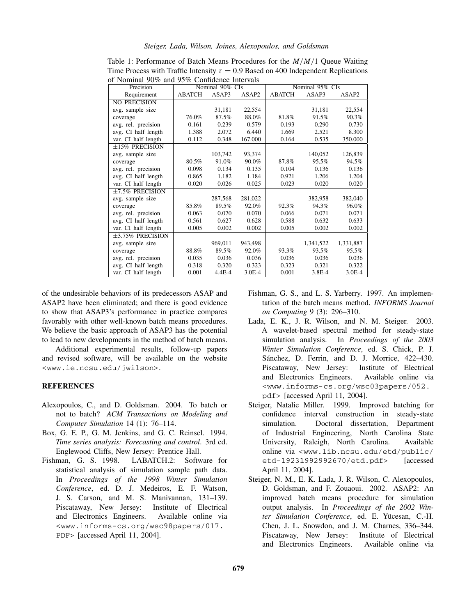| Precision             | $\mu$ indifficit 70% and 79% confidence this value<br>Nominal 90% CIs |            |          | Nominal 95% CIs |           |           |
|-----------------------|-----------------------------------------------------------------------|------------|----------|-----------------|-----------|-----------|
| Requirement           | <b>ABATCH</b>                                                         | ASAP3      | ASAP2    | <b>ABATCH</b>   | ASAP3     | ASAP2     |
| <b>NO PRECISION</b>   |                                                                       |            |          |                 |           |           |
| avg. sample size      |                                                                       | 31,181     | 22,554   |                 | 31,181    | 22,554    |
| coverage              | 76.0%                                                                 | 87.5%      | 88.0%    | 81.8%           | 91.5%     | 90.3%     |
| avg. rel. precision   | 0.161                                                                 | 0.239      | 0.579    | 0.193           | 0.290     | 0.730     |
| avg. CI half length   | 1.388                                                                 | 2.072      | 6.440    | 1.669           | 2.521     | 8.300     |
| var. CI half length   | 0.112                                                                 | 0.348      | 167.000  | 0.164           | 0.535     | 350.000   |
| $\pm 15\%$ PRECISION  |                                                                       |            |          |                 |           |           |
| avg. sample size      |                                                                       | 103,742    | 93,374   |                 | 140,052   | 126,839   |
| coverage              | 80.5%                                                                 | 91.0%      | 90.0%    | 87.8%           | 95.5%     | 94.5%     |
| avg. rel. precision   | 0.098                                                                 | 0.134      | 0.135    | 0.104           | 0.136     | 0.136     |
| avg. CI half length   | 0.865                                                                 | 1.182      | 1.184    | 0.921           | 1.206     | 1.204     |
| var. CI half length   | 0.020                                                                 | 0.026      | 0.025    | 0.023           | 0.020     | 0.020     |
| $\pm 7.5\%$ PRECISION |                                                                       |            |          |                 |           |           |
| avg. sample size      |                                                                       | 287,568    | 281,022  |                 | 382,958   | 382,040   |
| coverage              | 85.8%                                                                 | 89.5%      | 92.0%    | 92.3%           | 94.3%     | 96.0%     |
| avg. rel. precision   | 0.063                                                                 | 0.070      | 0.070    | 0.066           | 0.071     | 0.071     |
| avg. CI half length   | 0.561                                                                 | 0.627      | 0.628    | 0.588           | 0.632     | 0.633     |
| var. CI half length   | 0.005                                                                 | 0.002      | 0.002    | 0.005           | 0.002     | 0.002     |
| $\pm$ 3.75% PRECISION |                                                                       |            |          |                 |           |           |
| avg. sample size      |                                                                       | 969,011    | 943,498  |                 | 1,341,522 | 1,331,887 |
| coverage              | 88.8%                                                                 | 89.5%      | 92.0%    | 93.3%           | 93.5%     | 95.5%     |
| avg. rel. precision   | 0.035                                                                 | 0.036      | 0.036    | 0.036           | 0.036     | 0.036     |
| avg. CI half length   | 0.318                                                                 | 0.320      | 0.323    | 0.323           | 0.321     | 0.322     |
| var. CI half length   | 0.001                                                                 | $4.4E - 4$ | $3.0E-4$ | 0.001           | 3.8E-4    | $3.0E-4$  |

<span id="page-7-0"></span>Table 1: Performance of Batch Means Procedures for the *M/M/*1 Queue Waiting Time Process with Traffic Intensity  $\tau = 0.9$  Based on 400 Independent Replications of Nominal 90% and 95% Confidence Intervals

of the undesirable behaviors of its predecessors ASAP and ASAP2 have been eliminated; and there is good evidence to show that ASAP3's performance in practice compares favorably with other well-known batch means procedures. We believe the basic approach of ASAP3 has the potential to lead to new developments in the method of batch means.

Additional experimental results, follow-up papers and revised software, will be available on the website <<www.ie.ncsu.edu/jwilson>>.

### **REFERENCES**

- Alexopoulos, C., and D. Goldsman. 2004. To batch or not to batch? *ACM Transactions on Modeling and Computer Simulation* 14 (1): 76–114.
- Box, G. E. P., G. M. Jenkins, and G. C. Reinsel. 1994. *Time series analysis: Forecasting and control*. 3rd ed. Englewood Cliffs, New Jersey: Prentice Hall.
- Fishman, G. S. 1998. LABATCH.2: Software for statistical analysis of simulation sample path data. In *Proceedings of the 1998 Winter Simulation Conference*, ed. D. J. Medeiros, E. F. Watson, J. S. Carson, and M. S. Manivannan, 131–139. Piscataway, New Jersey: Institute of Electrical and Electronics Engineers. Available online via <<www.informs-cs.org/wsc98papers/017.> <PDF>> [accessed April 11, 2004].
- Fishman, G. S., and L. S. Yarberry. 1997. An implementation of the batch means method. *INFORMS Journal on Computing* 9 (3): 296–310.
- Lada, E. K., J. R. Wilson, and N. M. Steiger. 2003. A wavelet-based spectral method for steady-state simulation analysis. In *Proceedings of the 2003 Winter Simulation Conference*, ed. S. Chick, P. J. Sánchez, D. Ferrin, and D. J. Morrice, 422–430. Piscataway, New Jersey: Institute of Electrical and Electronics Engineers. Available online via <<www.informs-cs.org/wsc03papers/052.> <pdf>> [accessed April 11, 2004].
- Steiger, Natalie Miller. 1999. Improved batching for confidence interval construction in steady-state simulation. Doctoral dissertation, Department of Industrial Engineering, North Carolina State University, Raleigh, North Carolina. Available online via <<www.lib.ncsu.edu/etd/public/> <etd-19231992992670/etd.pdf>> [accessed April 11, 2004].
- Steiger, N. M., E. K. Lada, J. R. Wilson, C. Alexopoulos, D. Goldsman, and F. Zouaoui. 2002. ASAP2: An improved batch means procedure for simulation output analysis. In *Proceedings of the 2002 Winter Simulation Conference*, ed. E. Yücesan, C.-H. Chen, J. L. Snowdon, and J. M. Charnes, 336–344. Piscataway, New Jersey: Institute of Electrical and Electronics Engineers. Available online via